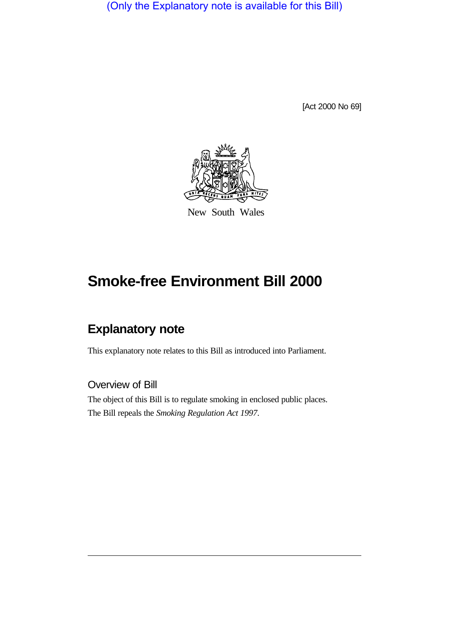(Only the Explanatory note is available for this Bill)

[Act 2000 No 69]



New South Wales

# **Smoke-free Environment Bill 2000**

## **Explanatory note**

This explanatory note relates to this Bill as introduced into Parliament.

Overview of Bill

The object of this Bill is to regulate smoking in enclosed public places. The Bill repeals the *Smoking Regulation Act 1997*.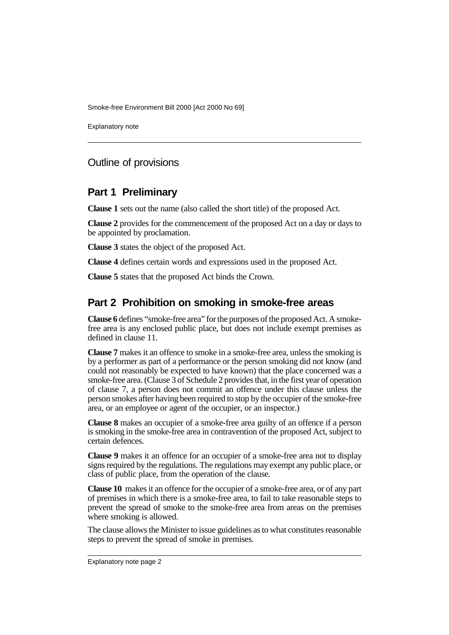Explanatory note

## Outline of provisions

#### **Part 1 Preliminary**

**Clause 1** sets out the name (also called the short title) of the proposed Act.

**Clause 2** provides for the commencement of the proposed Act on a day or days to be appointed by proclamation.

**Clause 3** states the object of the proposed Act.

**Clause 4** defines certain words and expressions used in the proposed Act.

**Clause 5** states that the proposed Act binds the Crown.

## **Part 2 Prohibition on smoking in smoke-free areas**

**Clause 6** defines "smoke-free area" for the purposes of the proposed Act. A smokefree area is any enclosed public place, but does not include exempt premises as defined in clause 11.

**Clause 7** makes it an offence to smoke in a smoke-free area, unless the smoking is by a performer as part of a performance or the person smoking did not know (and could not reasonably be expected to have known) that the place concerned was a smoke-free area. (Clause 3 of Schedule 2 provides that, in the first year of operation of clause 7, a person does not commit an offence under this clause unless the person smokes after having been required to stop by the occupier of the smoke-free area, or an employee or agent of the occupier, or an inspector.)

**Clause 8** makes an occupier of a smoke-free area guilty of an offence if a person is smoking in the smoke-free area in contravention of the proposed Act, subject to certain defences.

**Clause 9** makes it an offence for an occupier of a smoke-free area not to display signs required by the regulations. The regulations may exempt any public place, or class of public place, from the operation of the clause.

**Clause 10** makes it an offence for the occupier of a smoke-free area, or of any part of premises in which there is a smoke-free area, to fail to take reasonable steps to prevent the spread of smoke to the smoke-free area from areas on the premises where smoking is allowed.

The clause allows the Minister to issue guidelines as to what constitutes reasonable steps to prevent the spread of smoke in premises.

Explanatory note page 2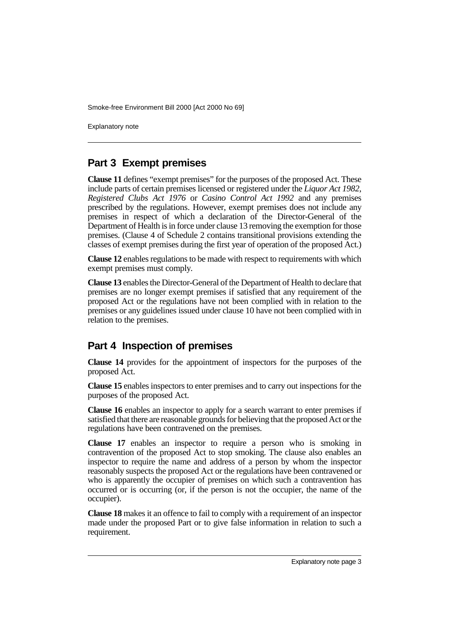Explanatory note

## **Part 3 Exempt premises**

**Clause 11** defines "exempt premises" for the purposes of the proposed Act. These include parts of certain premises licensed or registered under the *Liquor Act 1982*, *Registered Clubs Act 1976* or *Casino Control Act 1992* and any premises prescribed by the regulations. However, exempt premises does not include any premises in respect of which a declaration of the Director-General of the Department of Health is in force under clause 13 removing the exemption for those premises. (Clause 4 of Schedule 2 contains transitional provisions extending the classes of exempt premises during the first year of operation of the proposed Act.)

**Clause 12** enables regulations to be made with respect to requirements with which exempt premises must comply.

**Clause 13** enables the Director-General of the Department of Health to declare that premises are no longer exempt premises if satisfied that any requirement of the proposed Act or the regulations have not been complied with in relation to the premises or any guidelines issued under clause 10 have not been complied with in relation to the premises.

## **Part 4 Inspection of premises**

**Clause 14** provides for the appointment of inspectors for the purposes of the proposed Act.

**Clause 15** enables inspectors to enter premises and to carry out inspections for the purposes of the proposed Act.

**Clause 16** enables an inspector to apply for a search warrant to enter premises if satisfied that there are reasonable grounds for believing that the proposed Act or the regulations have been contravened on the premises.

**Clause 17** enables an inspector to require a person who is smoking in contravention of the proposed Act to stop smoking. The clause also enables an inspector to require the name and address of a person by whom the inspector reasonably suspects the proposed Act or the regulations have been contravened or who is apparently the occupier of premises on which such a contravention has occurred or is occurring (or, if the person is not the occupier, the name of the occupier).

**Clause 18** makes it an offence to fail to comply with a requirement of an inspector made under the proposed Part or to give false information in relation to such a requirement.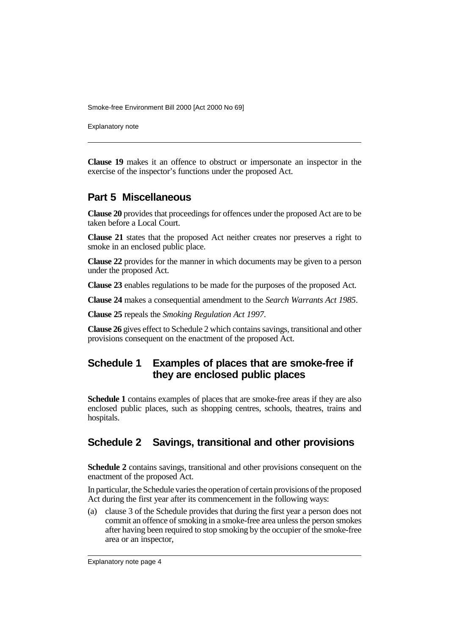Explanatory note

**Clause 19** makes it an offence to obstruct or impersonate an inspector in the exercise of the inspector's functions under the proposed Act.

#### **Part 5 Miscellaneous**

**Clause 20** provides that proceedings for offences under the proposed Act are to be taken before a Local Court.

**Clause 21** states that the proposed Act neither creates nor preserves a right to smoke in an enclosed public place.

**Clause 22** provides for the manner in which documents may be given to a person under the proposed Act.

**Clause 23** enables regulations to be made for the purposes of the proposed Act.

**Clause 24** makes a consequential amendment to the *Search Warrants Act 1985*.

**Clause 25** repeals the *Smoking Regulation Act 1997*.

**Clause 26** gives effect to Schedule 2 which contains savings, transitional and other provisions consequent on the enactment of the proposed Act.

## **Schedule 1 Examples of places that are smoke-free if they are enclosed public places**

**Schedule 1** contains examples of places that are smoke-free areas if they are also enclosed public places, such as shopping centres, schools, theatres, trains and hospitals.

## **Schedule 2 Savings, transitional and other provisions**

**Schedule 2** contains savings, transitional and other provisions consequent on the enactment of the proposed Act.

In particular, the Schedule varies the operation of certain provisions of the proposed Act during the first year after its commencement in the following ways:

(a) clause 3 of the Schedule provides that during the first year a person does not commit an offence of smoking in a smoke-free area unless the person smokes after having been required to stop smoking by the occupier of the smoke-free area or an inspector,